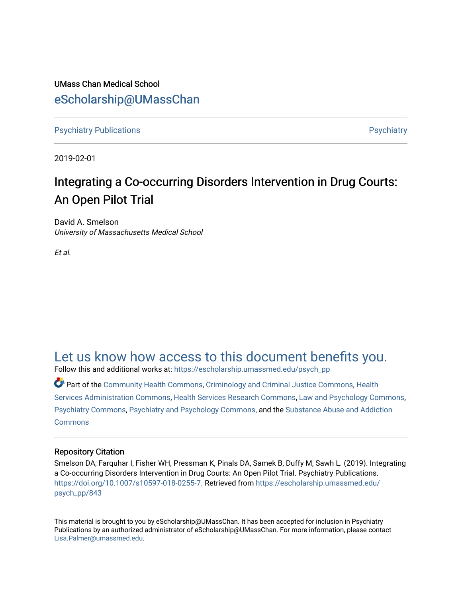UMass Chan Medical School [eScholarship@UMassChan](https://escholarship.umassmed.edu/) 

[Psychiatry Publications](https://escholarship.umassmed.edu/psych_pp) **Provides** [Psychiatry](https://escholarship.umassmed.edu/psychiatry) Publications **Psychiatry** 

2019-02-01

# Integrating a Co-occurring Disorders Intervention in Drug Courts: An Open Pilot Trial

David A. Smelson University of Massachusetts Medical School

Et al.

# [Let us know how access to this document benefits you.](https://arcsapps.umassmed.edu/redcap/surveys/?s=XWRHNF9EJE)

Follow this and additional works at: [https://escholarship.umassmed.edu/psych\\_pp](https://escholarship.umassmed.edu/psych_pp?utm_source=escholarship.umassmed.edu%2Fpsych_pp%2F843&utm_medium=PDF&utm_campaign=PDFCoverPages) 

Part of the [Community Health Commons,](http://network.bepress.com/hgg/discipline/714?utm_source=escholarship.umassmed.edu%2Fpsych_pp%2F843&utm_medium=PDF&utm_campaign=PDFCoverPages) [Criminology and Criminal Justice Commons](http://network.bepress.com/hgg/discipline/367?utm_source=escholarship.umassmed.edu%2Fpsych_pp%2F843&utm_medium=PDF&utm_campaign=PDFCoverPages), [Health](http://network.bepress.com/hgg/discipline/747?utm_source=escholarship.umassmed.edu%2Fpsych_pp%2F843&utm_medium=PDF&utm_campaign=PDFCoverPages)  [Services Administration Commons,](http://network.bepress.com/hgg/discipline/747?utm_source=escholarship.umassmed.edu%2Fpsych_pp%2F843&utm_medium=PDF&utm_campaign=PDFCoverPages) [Health Services Research Commons](http://network.bepress.com/hgg/discipline/816?utm_source=escholarship.umassmed.edu%2Fpsych_pp%2F843&utm_medium=PDF&utm_campaign=PDFCoverPages), [Law and Psychology Commons](http://network.bepress.com/hgg/discipline/870?utm_source=escholarship.umassmed.edu%2Fpsych_pp%2F843&utm_medium=PDF&utm_campaign=PDFCoverPages), [Psychiatry Commons,](http://network.bepress.com/hgg/discipline/704?utm_source=escholarship.umassmed.edu%2Fpsych_pp%2F843&utm_medium=PDF&utm_campaign=PDFCoverPages) [Psychiatry and Psychology Commons,](http://network.bepress.com/hgg/discipline/908?utm_source=escholarship.umassmed.edu%2Fpsych_pp%2F843&utm_medium=PDF&utm_campaign=PDFCoverPages) and the [Substance Abuse and Addiction](http://network.bepress.com/hgg/discipline/710?utm_source=escholarship.umassmed.edu%2Fpsych_pp%2F843&utm_medium=PDF&utm_campaign=PDFCoverPages) **[Commons](http://network.bepress.com/hgg/discipline/710?utm_source=escholarship.umassmed.edu%2Fpsych_pp%2F843&utm_medium=PDF&utm_campaign=PDFCoverPages)** 

# Repository Citation

Smelson DA, Farquhar I, Fisher WH, Pressman K, Pinals DA, Samek B, Duffy M, Sawh L. (2019). Integrating a Co-occurring Disorders Intervention in Drug Courts: An Open Pilot Trial. Psychiatry Publications. <https://doi.org/10.1007/s10597-018-0255-7>. Retrieved from [https://escholarship.umassmed.edu/](https://escholarship.umassmed.edu/psych_pp/843?utm_source=escholarship.umassmed.edu%2Fpsych_pp%2F843&utm_medium=PDF&utm_campaign=PDFCoverPages) [psych\\_pp/843](https://escholarship.umassmed.edu/psych_pp/843?utm_source=escholarship.umassmed.edu%2Fpsych_pp%2F843&utm_medium=PDF&utm_campaign=PDFCoverPages) 

This material is brought to you by eScholarship@UMassChan. It has been accepted for inclusion in Psychiatry Publications by an authorized administrator of eScholarship@UMassChan. For more information, please contact [Lisa.Palmer@umassmed.edu](mailto:Lisa.Palmer@umassmed.edu).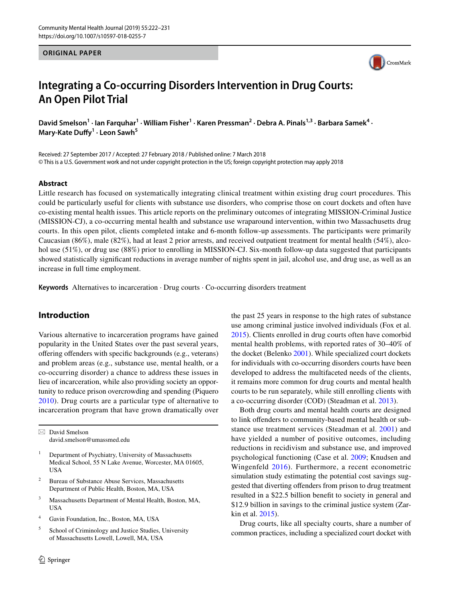## **ORIGINAL PAPER**



# **Integrating a Co-occurring Disorders Intervention in Drug Courts: An Open Pilot Trial**

David Smelson<sup>1</sup> · Ian Farquhar<sup>1</sup> · William Fisher<sup>1</sup> · Karen Pressman<sup>2</sup> · Debra A. Pinals<sup>1,3</sup> · Barbara Samek<sup>4</sup> · **Mary‑Kate Duffy<sup>1</sup> · Leon Sawh<sup>5</sup>**

Received: 27 September 2017 / Accepted: 27 February 2018 / Published online: 7 March 2018 © This is a U.S. Government work and not under copyright protection in the US; foreign copyright protection may apply 2018

## **Abstract**

Little research has focused on systematically integrating clinical treatment within existing drug court procedures. This could be particularly useful for clients with substance use disorders, who comprise those on court dockets and often have co-existing mental health issues. This article reports on the preliminary outcomes of integrating MISSION-Criminal Justice (MISSION-CJ), a co-occurring mental health and substance use wraparound intervention, within two Massachusetts drug courts. In this open pilot, clients completed intake and 6-month follow-up assessments. The participants were primarily Caucasian (86%), male (82%), had at least 2 prior arrests, and received outpatient treatment for mental health (54%), alcohol use (51%), or drug use (88%) prior to enrolling in MISSION-CJ. Six-month follow-up data suggested that participants showed statistically significant reductions in average number of nights spent in jail, alcohol use, and drug use, as well as an increase in full time employment.

**Keywords** Alternatives to incarceration · Drug courts · Co-occurring disorders treatment

# **Introduction**

Various alternative to incarceration programs have gained popularity in the United States over the past several years, offering offenders with specific backgrounds (e.g., veterans) and problem areas (e.g., substance use, mental health, or a co-occurring disorder) a chance to address these issues in lieu of incarceration, while also providing society an opportunity to reduce prison overcrowding and spending (Piquero [2010\)](#page-9-0). Drug courts are a particular type of alternative to incarceration program that have grown dramatically over

 $\boxtimes$  David Smelson david.smelson@umassmed.edu

- <sup>1</sup> Department of Psychiatry, University of Massachusetts Medical School, 55 N Lake Avenue, Worcester, MA 01605, USA
- <sup>2</sup> Bureau of Substance Abuse Services, Massachusetts Department of Public Health, Boston, MA, USA
- <sup>3</sup> Massachusetts Department of Mental Health, Boston, MA, USA
- <sup>4</sup> Gavin Foundation, Inc., Boston, MA, USA
- <sup>5</sup> School of Criminology and Justice Studies, University of Massachusetts Lowell, Lowell, MA, USA

the past 25 years in response to the high rates of substance use among criminal justice involved individuals (Fox et al. [2015](#page-9-1)). Clients enrolled in drug courts often have comorbid mental health problems, with reported rates of 30–40% of the docket (Belenko [2001\)](#page-9-2). While specialized court dockets for individuals with co-occurring disorders courts have been developed to address the multifaceted needs of the clients, it remains more common for drug courts and mental health courts to be run separately, while still enrolling clients with a co-occurring disorder (COD) (Steadman et al. [2013](#page-9-3)).

Both drug courts and mental health courts are designed to link offenders to community-based mental health or substance use treatment services (Steadman et al. [2001\)](#page-9-4) and have yielded a number of positive outcomes, including reductions in recidivism and substance use, and improved psychological functioning (Case et al. [2009;](#page-9-5) Knudsen and Wingenfeld [2016](#page-9-6)). Furthermore, a recent econometric simulation study estimating the potential cost savings suggested that diverting offenders from prison to drug treatment resulted in a \$22.5 billion benefit to society in general and \$12.9 billion in savings to the criminal justice system (Zarkin et al. [2015\)](#page-10-0).

Drug courts, like all specialty courts, share a number of common practices, including a specialized court docket with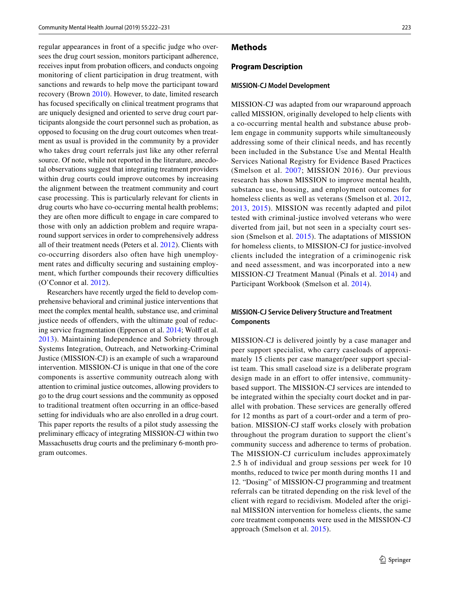regular appearances in front of a specific judge who oversees the drug court session, monitors participant adherence, receives input from probation officers, and conducts ongoing monitoring of client participation in drug treatment, with sanctions and rewards to help move the participant toward recovery (Brown [2010](#page-9-7)). However, to date, limited research has focused specifically on clinical treatment programs that are uniquely designed and oriented to serve drug court participants alongside the court personnel such as probation, as opposed to focusing on the drug court outcomes when treatment as usual is provided in the community by a provider who takes drug court referrals just like any other referral source. Of note, while not reported in the literature, anecdotal observations suggest that integrating treatment providers within drug courts could improve outcomes by increasing the alignment between the treatment community and court case processing. This is particularly relevant for clients in drug courts who have co-occurring mental health problems; they are often more difficult to engage in care compared to those with only an addiction problem and require wraparound support services in order to comprehensively address all of their treatment needs (Peters et al. [2012](#page-9-8)). Clients with co-occurring disorders also often have high unemployment rates and difficulty securing and sustaining employment, which further compounds their recovery difficulties (O'Connor et al. [2012\)](#page-9-9).

Researchers have recently urged the field to develop comprehensive behavioral and criminal justice interventions that meet the complex mental health, substance use, and criminal justice needs of offenders, with the ultimate goal of reducing service fragmentation (Epperson et al. [2014;](#page-9-10) Wolff et al. [2013\)](#page-10-1). Maintaining Independence and Sobriety through Systems Integration, Outreach, and Networking-Criminal Justice (MISSION-CJ) is an example of such a wraparound intervention. MISSION-CJ is unique in that one of the core components is assertive community outreach along with attention to criminal justice outcomes, allowing providers to go to the drug court sessions and the community as opposed to traditional treatment often occurring in an office-based setting for individuals who are also enrolled in a drug court. This paper reports the results of a pilot study assessing the preliminary efficacy of integrating MISSION-CJ within two Massachusetts drug courts and the preliminary 6-month program outcomes.

## **Methods**

### **Program Description**

#### **MISSION-CJ Model Development**

MISSION-CJ was adapted from our wraparound approach called MISSION, originally developed to help clients with a co-occurring mental health and substance abuse problem engage in community supports while simultaneously addressing some of their clinical needs, and has recently been included in the Substance Use and Mental Health Services National Registry for Evidence Based Practices (Smelson et al. [2007](#page-9-11); MISSION 2016). Our previous research has shown MISSION to improve mental health, substance use, housing, and employment outcomes for homeless clients as well as veterans (Smelson et al. [2012,](#page-9-12) [2013](#page-9-13), [2015\)](#page-9-14). MISSION was recently adapted and pilot tested with criminal-justice involved veterans who were diverted from jail, but not seen in a specialty court session (Smelson et al. [2015](#page-9-14)). The adaptations of MISSION for homeless clients, to MISSION-CJ for justice-involved clients included the integration of a criminogenic risk and need assessment, and was incorporated into a new MISSION-CJ Treatment Manual (Pinals et al. [2014\)](#page-9-15) and Participant Workbook (Smelson et al. [2014\)](#page-9-16).

# **MISSION-CJ Service Delivery Structure and Treatment Components**

MISSION-CJ is delivered jointly by a case manager and peer support specialist, who carry caseloads of approximately 15 clients per case manager/peer support specialist team. This small caseload size is a deliberate program design made in an effort to offer intensive, communitybased support. The MISSION-CJ services are intended to be integrated within the specialty court docket and in parallel with probation. These services are generally offered for 12 months as part of a court-order and a term of probation. MISSION-CJ staff works closely with probation throughout the program duration to support the client's community success and adherence to terms of probation. The MISSION-CJ curriculum includes approximately 2.5 h of individual and group sessions per week for 10 months, reduced to twice per month during months 11 and 12. "Dosing" of MISSION-CJ programming and treatment referrals can be titrated depending on the risk level of the client with regard to recidivism. Modeled after the original MISSION intervention for homeless clients, the same core treatment components were used in the MISSION-CJ approach (Smelson et al. [2015](#page-9-14)).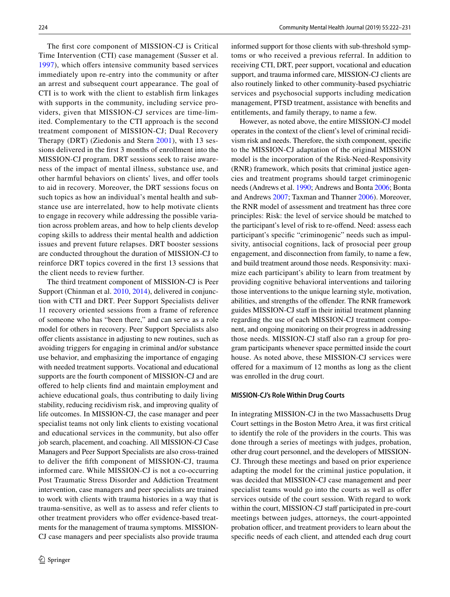The first core component of MISSION-CJ is Critical Time Intervention (CTI) case management (Susser et al. [1997\)](#page-10-2), which offers intensive community based services immediately upon re-entry into the community or after an arrest and subsequent court appearance. The goal of CTI is to work with the client to establish firm linkages with supports in the community, including service providers, given that MISSION-CJ services are time-limited. Complementary to the CTI approach is the second treatment component of MISSION-CJ; Dual Recovery Therapy (DRT) (Ziedonis and Stern [2001\)](#page-10-3), with 13 sessions delivered in the first 3 months of enrollment into the MISSION-CJ program. DRT sessions seek to raise awareness of the impact of mental illness, substance use, and other harmful behaviors on clients' lives, and offer tools to aid in recovery. Moreover, the DRT sessions focus on such topics as how an individual's mental health and substance use are interrelated, how to help motivate clients to engage in recovery while addressing the possible variation across problem areas, and how to help clients develop coping skills to address their mental health and addiction issues and prevent future relapses. DRT booster sessions are conducted throughout the duration of MISSION-CJ to reinforce DRT topics covered in the first 13 sessions that the client needs to review further.

The third treatment component of MISSION-CJ is Peer Support (Chinman et al. [2010](#page-9-17), [2014\)](#page-9-18), delivered in conjunction with CTI and DRT. Peer Support Specialists deliver 11 recovery oriented sessions from a frame of reference of someone who has "been there," and can serve as a role model for others in recovery. Peer Support Specialists also offer clients assistance in adjusting to new routines, such as avoiding triggers for engaging in criminal and/or substance use behavior, and emphasizing the importance of engaging with needed treatment supports. Vocational and educational supports are the fourth component of MISSION-CJ and are offered to help clients find and maintain employment and achieve educational goals, thus contributing to daily living stability, reducing recidivism risk, and improving quality of life outcomes. In MISSION-CJ, the case manager and peer specialist teams not only link clients to existing vocational and educational services in the community, but also offer job search, placement, and coaching. All MISSION-CJ Case Managers and Peer Support Specialists are also cross-trained to deliver the fifth component of MISSION-CJ, trauma informed care. While MISSION-CJ is not a co-occurring Post Traumatic Stress Disorder and Addiction Treatment intervention, case managers and peer specialists are trained to work with clients with trauma histories in a way that is trauma-sensitive, as well as to assess and refer clients to other treatment providers who offer evidence-based treatments for the management of trauma symptoms. MISSION-CJ case managers and peer specialists also provide trauma informed support for those clients with sub-threshold symptoms or who received a previous referral. In addition to receiving CTI, DRT, peer support, vocational and education support, and trauma informed care, MISSION-CJ clients are also routinely linked to other community-based psychiatric services and psychosocial supports including medication management, PTSD treatment, assistance with benefits and entitlements, and family therapy, to name a few.

However, as noted above, the entire MISSION-CJ model operates in the context of the client's level of criminal recidivism risk and needs. Therefore, the sixth component, specific to the MISSION-CJ adaptation of the original MISSION model is the incorporation of the Risk-Need-Responsivity (RNR) framework, which posits that criminal justice agencies and treatment programs should target criminogenic needs (Andrews et al. [1990;](#page-9-19) Andrews and Bonta [2006;](#page-9-20) Bonta and Andrews [2007](#page-9-21); Taxman and Thanner [2006](#page-10-4)). Moreover, the RNR model of assessment and treatment has three core principles: Risk: the level of service should be matched to the participant's level of risk to re-offend. Need: assess each participant's specific "criminogenic" needs such as impulsivity, antisocial cognitions, lack of prosocial peer group engagement, and disconnection from family, to name a few, and build treatment around those needs. Responsivity: maximize each participant's ability to learn from treatment by providing cognitive behavioral interventions and tailoring those interventions to the unique learning style, motivation, abilities, and strengths of the offender. The RNR framework guides MISSION-CJ staff in their initial treatment planning regarding the use of each MISSION-CJ treatment component, and ongoing monitoring on their progress in addressing those needs. MISSION-CJ staff also ran a group for program participants whenever space permitted inside the court house. As noted above, these MISSION-CJ services were offered for a maximum of 12 months as long as the client was enrolled in the drug court.

#### **MISSION-CJ's Role Within Drug Courts**

In integrating MISSION-CJ in the two Massachusetts Drug Court settings in the Boston Metro Area, it was first critical to identify the role of the providers in the courts. This was done through a series of meetings with judges, probation, other drug court personnel, and the developers of MISSION-CJ. Through these meetings and based on prior experience adapting the model for the criminal justice population, it was decided that MISSION-CJ case management and peer specialist teams would go into the courts as well as offer services outside of the court session. With regard to work within the court, MISSION-CJ staff participated in pre-court meetings between judges, attorneys, the court-appointed probation officer, and treatment providers to learn about the specific needs of each client, and attended each drug court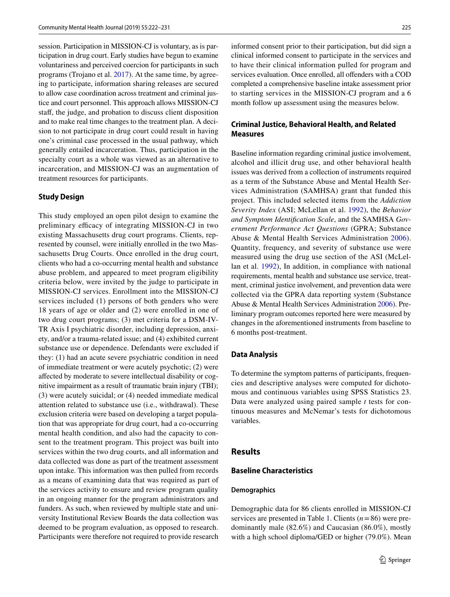session. Participation in MISSION-CJ is voluntary, as is participation in drug court. Early studies have begun to examine voluntariness and perceived coercion for participants in such programs (Trojano et al. [2017\)](#page-10-5). At the same time, by agreeing to participate, information sharing releases are secured to allow case coordination across treatment and criminal justice and court personnel. This approach allows MISSION-CJ staff, the judge, and probation to discuss client disposition and to make real time changes to the treatment plan. A decision to not participate in drug court could result in having one's criminal case processed in the usual pathway, which generally entailed incarceration. Thus, participation in the specialty court as a whole was viewed as an alternative to incarceration, and MISSION-CJ was an augmentation of treatment resources for participants.

## **Study Design**

This study employed an open pilot design to examine the preliminary efficacy of integrating MISSION-CJ in two existing Massachusetts drug court programs. Clients, represented by counsel, were initially enrolled in the two Massachusetts Drug Courts. Once enrolled in the drug court, clients who had a co-occurring mental health and substance abuse problem, and appeared to meet program eligibility criteria below, were invited by the judge to participate in MISSION-CJ services. Enrollment into the MISSION-CJ services included (1) persons of both genders who were 18 years of age or older and (2) were enrolled in one of two drug court programs; (3) met criteria for a DSM-IV-TR Axis I psychiatric disorder, including depression, anxiety, and/or a trauma-related issue; and (4) exhibited current substance use or dependence. Defendants were excluded if they: (1) had an acute severe psychiatric condition in need of immediate treatment or were acutely psychotic; (2) were affected by moderate to severe intellectual disability or cognitive impairment as a result of traumatic brain injury (TBI); (3) were acutely suicidal; or (4) needed immediate medical attention related to substance use (i.e., withdrawal). These exclusion criteria were based on developing a target population that was appropriate for drug court, had a co-occurring mental health condition, and also had the capacity to consent to the treatment program. This project was built into services within the two drug courts, and all information and data collected was done as part of the treatment assessment upon intake. This information was then pulled from records as a means of examining data that was required as part of the services activity to ensure and review program quality in an ongoing manner for the program administrators and funders. As such, when reviewed by multiple state and university Institutional Review Boards the data collection was deemed to be program evaluation, as opposed to research. Participants were therefore not required to provide research informed consent prior to their participation, but did sign a clinical informed consent to participate in the services and to have their clinical information pulled for program and services evaluation. Once enrolled, all offenders with a COD completed a comprehensive baseline intake assessment prior to starting services in the MISSION-CJ program and a 6 month follow up assessment using the measures below.

# **Criminal Justice, Behavioral Health, and Related Measures**

Baseline information regarding criminal justice involvement, alcohol and illicit drug use, and other behavioral health issues was derived from a collection of instruments required as a term of the Substance Abuse and Mental Health Services Administration (SAMHSA) grant that funded this project. This included selected items from the *Addiction Severity Index* (ASI; McLellan et al. [1992\)](#page-9-22), the *Behavior and Symptom Identification Scale*, and the SAMHSA *Government Performance Act Questions* (GPRA; Substance Abuse & Mental Health Services Administration [2006](#page-9-23)). Quantity, frequency, and severity of substance use were measured using the drug use section of the ASI (McLellan et al. [1992](#page-9-22)), In addition, in compliance with national requirements, mental health and substance use service, treatment, criminal justice involvement, and prevention data were collected via the GPRA data reporting system (Substance Abuse & Mental Health Services Administration [2006\)](#page-9-23). Preliminary program outcomes reported here were measured by changes in the aforementioned instruments from baseline to 6 months post-treatment.

### **Data Analysis**

To determine the symptom patterns of participants, frequencies and descriptive analyses were computed for dichotomous and continuous variables using SPSS Statistics 23. Data were analyzed using paired sample *t* tests for continuous measures and McNemar's tests for dichotomous variables.

# **Results**

# **Baseline Characteristics**

# **Demographics**

Demographic data for 86 clients enrolled in MISSION-CJ services are presented in Table [1.](#page-5-0) Clients (*n*=86) were predominantly male (82.6%) and Caucasian (86.0%), mostly with a high school diploma/GED or higher (79.0%). Mean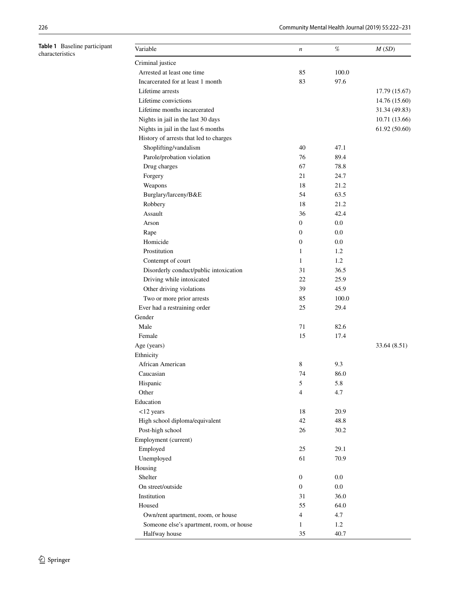<span id="page-5-0"></span>**Table 1** Baseline participant characteristics

| Variable                                 | $\boldsymbol{n}$ | %       | M(SD)         |
|------------------------------------------|------------------|---------|---------------|
| Criminal justice                         |                  |         |               |
| Arrested at least one time               | 85               | 100.0   |               |
| Incarcerated for at least 1 month        | 83               | 97.6    |               |
| Lifetime arrests                         |                  |         | 17.79 (15.67) |
| Lifetime convictions                     |                  |         | 14.76 (15.60) |
| Lifetime months incarcerated             |                  |         | 31.34 (49.83) |
| Nights in jail in the last 30 days       |                  |         | 10.71 (13.66) |
| Nights in jail in the last 6 months      |                  |         | 61.92 (50.60) |
| History of arrests that led to charges   |                  |         |               |
| Shoplifting/vandalism                    | 40               | 47.1    |               |
| Parole/probation violation               | 76               | 89.4    |               |
| Drug charges                             | 67               | 78.8    |               |
| Forgery                                  | 21               | 24.7    |               |
| Weapons                                  | 18               | 21.2    |               |
| Burglary/larceny/B&E                     | 54               | 63.5    |               |
| Robbery                                  | 18               | 21.2    |               |
| Assault                                  | 36               | 42.4    |               |
| Arson                                    | $\boldsymbol{0}$ | 0.0     |               |
| Rape                                     | 0                | $0.0\,$ |               |
| Homicide                                 | $\theta$         | $0.0\,$ |               |
| Prostitution                             | 1                | 1.2     |               |
| Contempt of court                        | 1                | 1.2     |               |
| Disorderly conduct/public intoxication   | 31               | 36.5    |               |
| Driving while intoxicated                | 22               | 25.9    |               |
| Other driving violations                 | 39               | 45.9    |               |
| Two or more prior arrests                | 85               | 100.0   |               |
| Ever had a restraining order             | 25               | 29.4    |               |
| Gender                                   |                  |         |               |
| Male                                     | 71               | 82.6    |               |
| Female                                   | 15               | 17.4    |               |
| Age (years)                              |                  |         | 33.64 (8.51)  |
| Ethnicity                                |                  |         |               |
| African American                         | 8                | 9.3     |               |
| Caucasian                                | 74               | 86.0    |               |
| Hispanic                                 | 5                | 5.8     |               |
| Other                                    | 4                | 4.7     |               |
| Education                                |                  |         |               |
| $<$ 12 years                             | 18               | 20.9    |               |
| High school diploma/equivalent           | 42               | 48.8    |               |
| Post-high school                         | 26               | 30.2    |               |
| Employment (current)                     |                  |         |               |
| Employed                                 | 25               | 29.1    |               |
| Unemployed                               | 61               | 70.9    |               |
| Housing                                  |                  |         |               |
| Shelter                                  | $\mathbf{0}$     | 0.0     |               |
| On street/outside                        | $\overline{0}$   | 0.0     |               |
| Institution                              | 31               | 36.0    |               |
| Housed                                   | 55               | 64.0    |               |
| Own/rent apartment, room, or house       | $\overline{4}$   | 4.7     |               |
| Someone else's apartment, room, or house | 1                | 1.2     |               |
| Halfway house                            | 35               | 40.7    |               |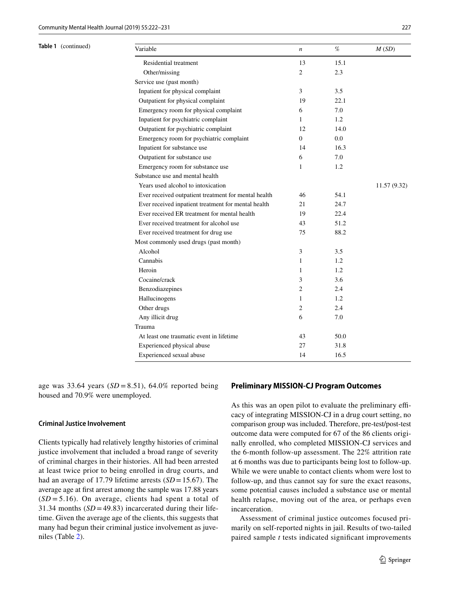| Table 1 (continued) | Variable                                             | $\boldsymbol{n}$ | $\%$    | M(SD)       |
|---------------------|------------------------------------------------------|------------------|---------|-------------|
|                     | Residential treatment                                | 13               | 15.1    |             |
|                     | Other/missing                                        | $\overline{c}$   | 2.3     |             |
|                     | Service use (past month)                             |                  |         |             |
|                     | Inpatient for physical complaint                     | 3                | 3.5     |             |
|                     | Outpatient for physical complaint                    | 19               | 22.1    |             |
|                     | Emergency room for physical complaint                | 6                | 7.0     |             |
|                     | Inpatient for psychiatric complaint                  | 1                | 1.2     |             |
|                     | Outpatient for psychiatric complaint                 | 12               | 14.0    |             |
|                     | Emergency room for psychiatric complaint             | $\mathbf{0}$     | $0.0\,$ |             |
|                     | Inpatient for substance use                          | 14               | 16.3    |             |
|                     | Outpatient for substance use                         | 6                | 7.0     |             |
|                     | Emergency room for substance use                     | 1                | 1.2     |             |
|                     | Substance use and mental health                      |                  |         |             |
|                     | Years used alcohol to intoxication                   |                  |         | 11.57(9.32) |
|                     | Ever received outpatient treatment for mental health | 46               | 54.1    |             |
|                     | Ever received inpatient treatment for mental health  | 21               | 24.7    |             |
|                     | Ever received ER treatment for mental health         | 19               | 22.4    |             |
|                     | Ever received treatment for alcohol use              | 43               | 51.2    |             |
|                     | Ever received treatment for drug use                 | 75               | 88.2    |             |
|                     | Most commonly used drugs (past month)                |                  |         |             |
|                     | Alcohol                                              | 3                | 3.5     |             |
|                     | Cannabis                                             | 1                | 1.2     |             |
|                     | Heroin                                               | 1                | 1.2     |             |
|                     | Cocaine/crack                                        | 3                | 3.6     |             |
|                     | Benzodiazepines                                      | $\overline{c}$   | 2.4     |             |
|                     | Hallucinogens                                        | 1                | 1.2     |             |
|                     | Other drugs                                          | 2                | 2.4     |             |
|                     | Any illicit drug                                     | 6                | 7.0     |             |
|                     | Trauma                                               |                  |         |             |
|                     | At least one traumatic event in lifetime             | 43               | 50.0    |             |
|                     | Experienced physical abuse                           | 27               | 31.8    |             |
|                     | Experienced sexual abuse                             | 14               | 16.5    |             |

age was 33.64 years  $(SD = 8.51)$ , 64.0% reported being housed and 70.9% were unemployed.

#### **Criminal Justice Involvement**

Clients typically had relatively lengthy histories of criminal justice involvement that included a broad range of severity of criminal charges in their histories. All had been arrested at least twice prior to being enrolled in drug courts, and had an average of 17.79 lifetime arrests (*SD*=15.67). The average age at first arrest among the sample was 17.88 years  $(SD = 5.16)$ . On average, clients had spent a total of 31.34 months  $(SD = 49.83)$  incarcerated during their lifetime. Given the average age of the clients, this suggests that many had begun their criminal justice involvement as juveniles (Table [2](#page-7-0)).

## **Preliminary MISSION‑CJ Program Outcomes**

As this was an open pilot to evaluate the preliminary efficacy of integrating MISSION-CJ in a drug court setting, no comparison group was included. Therefore, pre-test/post-test outcome data were computed for 67 of the 86 clients originally enrolled, who completed MISSION-CJ services and the 6-month follow-up assessment. The 22% attrition rate at 6 months was due to participants being lost to follow-up. While we were unable to contact clients whom were lost to follow-up, and thus cannot say for sure the exact reasons, some potential causes included a substance use or mental health relapse, moving out of the area, or perhaps even incarceration.

Assessment of criminal justice outcomes focused primarily on self-reported nights in jail. Results of two-tailed paired sample *t* tests indicated significant improvements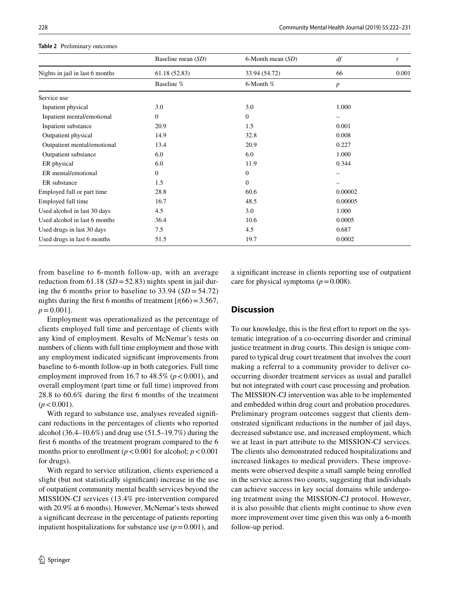#### <span id="page-7-0"></span>**Table 2** Preliminary outcomes

|                                 | Baseline mean (SD) | $6$ -Month mean $(SD)$ | df               | t     |
|---------------------------------|--------------------|------------------------|------------------|-------|
| Nights in jail in last 6 months | 61.18(52.83)       | 33.94 (54.72)          | 66               | 0.001 |
|                                 | Baseline %         | 6-Month %              | $\boldsymbol{p}$ |       |
| Service use                     |                    |                        |                  |       |
| Inpatient physical              | 3.0                | 3.0<br>1.000           |                  |       |
| Inpatient mental/emotional      | $\overline{0}$     | $\theta$               |                  |       |
| Inpatient substance             | 20.9               | 1.5                    | 0.001            |       |
| Outpatient physical             | 14.9               | 32.8                   | 0.008            |       |
| Outpatient mental/emotional     | 13.4               | 20.9                   | 0.227            |       |
| Outpatient substance            | 6.0                | 6.0                    | 1.000            |       |
| ER physical                     | 6.0                | 11.9                   | 0.344            |       |
| ER mental/emotional             | $\overline{0}$     | $\boldsymbol{0}$       |                  |       |
| ER substance                    | 1.5                | $\Omega$               |                  |       |
| Employed full or part time      | 28.8               | 60.6                   | 0.00002          |       |
| Employed full time              | 16.7               | 48.5                   | 0.00005          |       |
| Used alcohol in last 30 days    | 4.5                | 3.0                    | 1.000            |       |
| Used alcohol in last 6 months   | 36.4               | 10.6                   | 0.0005           |       |
| Used drugs in last 30 days      | 7.5                | 4.5                    | 0.687            |       |
| Used drugs in last 6 months     | 51.5               | 19.7                   | 0.0002           |       |

from baseline to 6-month follow-up, with an average reduction from  $61.18$  ( $SD = 52.83$ ) nights spent in jail during the 6 months prior to baseline to  $33.94$  ( $SD = 54.72$ ) nights during the first 6 months of treatment  $[t(66)=3.567,$  $p=0.001$ .

Employment was operationalized as the percentage of clients employed full time and percentage of clients with any kind of employment. Results of McNemar's tests on numbers of clients with full time employment and those with any employment indicated significant improvements from baseline to 6-month follow-up in both categories. Full time employment improved from 16.7 to  $48.5\%$  ( $p < 0.001$ ), and overall employment (part time or full time) improved from 28.8 to 60.6% during the first 6 months of the treatment  $(p < 0.001)$ .

With regard to substance use, analyses revealed significant reductions in the percentages of clients who reported alcohol (36.4–10.6%) and drug use (51.5–19.7%) during the first 6 months of the treatment program compared to the 6 months prior to enrollment  $(p < 0.001$  for alcohol;  $p < 0.001$ for drugs).

With regard to service utilization, clients experienced a slight (but not statistically significant) increase in the use of outpatient community mental health services beyond the MISSION-CJ services (13.4% pre-intervention compared with 20.9% at 6 months). However, McNemar's tests showed a significant decrease in the percentage of patients reporting inpatient hospitalizations for substance use  $(p=0.001)$ , and a significant increase in clients reporting use of outpatient care for physical symptoms  $(p=0.008)$ .

# **Discussion**

To our knowledge, this is the first effort to report on the systematic integration of a co-occurring disorder and criminal justice treatment in drug courts. This design is unique compared to typical drug court treatment that involves the court making a referral to a community provider to deliver cooccurring disorder treatment services as usual and parallel but not integrated with court case processing and probation. The MISSION-CJ intervention was able to be implemented and embedded within drug court and probation procedures. Preliminary program outcomes suggest that clients demonstrated significant reductions in the number of jail days, decreased substance use, and increased employment, which we at least in part attribute to the MISSION-CJ services. The clients also demonstrated reduced hospitalizations and increased linkages to medical providers. These improvements were observed despite a small sample being enrolled in the service across two courts, suggesting that individuals can achieve success in key social domains while undergoing treatment using the MISSION-CJ protocol. However, it is also possible that clients might continue to show even more improvement over time given this was only a 6-month follow-up period.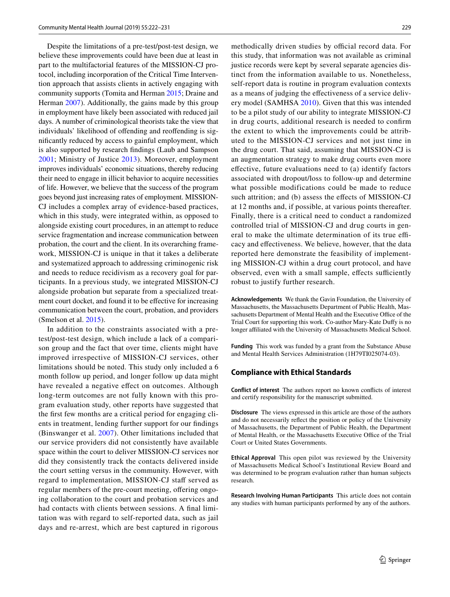Despite the limitations of a pre-test/post-test design, we believe these improvements could have been due at least in part to the multifactorial features of the MISSION-CJ protocol, including incorporation of the Critical Time Intervention approach that assists clients in actively engaging with community supports (Tomita and Herman [2015](#page-10-6); Draine and Herman [2007\)](#page-9-24). Additionally, the gains made by this group in employment have likely been associated with reduced jail days. A number of criminological theorists take the view that individuals' likelihood of offending and reoffending is significantly reduced by access to gainful employment, which is also supported by research findings (Laub and Sampson [2001;](#page-9-25) Ministry of Justice [2013\)](#page-9-26). Moreover, employment improves individuals' economic situations, thereby reducing their need to engage in illicit behavior to acquire necessities of life. However, we believe that the success of the program goes beyond just increasing rates of employment. MISSION-CJ includes a complex array of evidence-based practices, which in this study, were integrated within, as opposed to alongside existing court procedures, in an attempt to reduce service fragmentation and increase communication between probation, the court and the client. In its overarching framework, MISSION-CJ is unique in that it takes a deliberate and systematized approach to addressing criminogenic risk and needs to reduce recidivism as a recovery goal for participants. In a previous study, we integrated MISSION-CJ alongside probation but separate from a specialized treatment court docket, and found it to be effective for increasing communication between the court, probation, and providers (Smelson et al. [2015\)](#page-9-14).

In addition to the constraints associated with a pretest/post-test design, which include a lack of a comparison group and the fact that over time, clients might have improved irrespective of MISSION-CJ services, other limitations should be noted. This study only included a 6 month follow up period, and longer follow up data might have revealed a negative effect on outcomes. Although long-term outcomes are not fully known with this program evaluation study, other reports have suggested that the first few months are a critical period for engaging clients in treatment, lending further support for our findings (Binswanger et al. [2007\)](#page-9-27). Other limitations included that our service providers did not consistently have available space within the court to deliver MISSION-CJ services nor did they consistently track the contacts delivered inside the court setting versus in the community. However, with regard to implementation, MISSION-CJ staff served as regular members of the pre-court meeting, offering ongoing collaboration to the court and probation services and had contacts with clients between sessions. A final limitation was with regard to self-reported data, such as jail days and re-arrest, which are best captured in rigorous methodically driven studies by official record data. For this study, that information was not available as criminal justice records were kept by several separate agencies distinct from the information available to us. Nonetheless, self-report data is routine in program evaluation contexts as a means of judging the effectiveness of a service delivery model (SAMHSA [2010\)](#page-10-7). Given that this was intended to be a pilot study of our ability to integrate MISSION-CJ in drug courts, additional research is needed to confirm the extent to which the improvements could be attributed to the MISSION-CJ services and not just time in the drug court. That said, assuming that MISSION-CJ is an augmentation strategy to make drug courts even more effective, future evaluations need to (a) identify factors associated with dropout/loss to follow-up and determine what possible modifications could be made to reduce such attrition; and (b) assess the effects of MISSION-CJ at 12 months and, if possible, at various points thereafter. Finally, there is a critical need to conduct a randomized controlled trial of MISSION-CJ and drug courts in general to make the ultimate determination of its true efficacy and effectiveness. We believe, however, that the data reported here demonstrate the feasibility of implementing MISSION-CJ within a drug court protocol, and have observed, even with a small sample, effects sufficiently robust to justify further research.

**Acknowledgements** We thank the Gavin Foundation, the University of Massachusetts, the Massachusetts Department of Public Health, Massachusetts Department of Mental Health and the Executive Office of the Trial Court for supporting this work. Co-author Mary-Kate Duffy is no longer affiliated with the University of Massachusetts Medical School.

**Funding** This work was funded by a grant from the Substance Abuse and Mental Health Services Administration (1H79TI025074-03).

# **Compliance with Ethical Standards**

**Conflict of interest** The authors report no known conflicts of interest and certify responsibility for the manuscript submitted.

**Disclosure** The views expressed in this article are those of the authors and do not necessarily reflect the position or policy of the University of Massachusetts, the Department of Public Health, the Department of Mental Health, or the Massachusetts Executive Office of the Trial Court or United States Governments.

**Ethical Approval** This open pilot was reviewed by the University of Massachusetts Medical School's Institutional Review Board and was determined to be program evaluation rather than human subjects research.

**Research Involving Human Participants** This article does not contain any studies with human participants performed by any of the authors.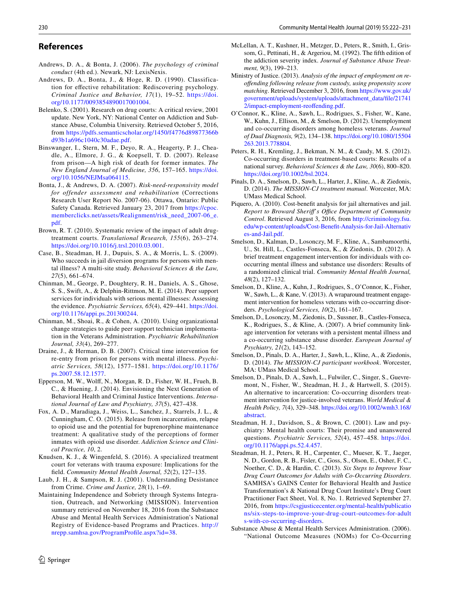### **References**

- <span id="page-9-20"></span>Andrews, D. A., & Bonta, J. (2006). *The psychology of criminal conduct* (4th ed.). Newark, NJ: LexisNexis.
- <span id="page-9-19"></span>Andrews, D. A., Bonta, J., & Hoge, R. D. (1990). Classification for effective rehabilitation: Rediscovering psychology. *Criminal Justice and Behavior, 17*(1), 19–52. [https://doi.](https://doi.org/10.1177/0093854890017001004) [org/10.1177/0093854890017001004](https://doi.org/10.1177/0093854890017001004).
- <span id="page-9-2"></span>Belenko, S. (2001). Research on drug courts: A critical review, 2001 update. New York, NY: National Center on Addiction and Substance Abuse, Columbia University. Retrieved October 5, 2016, from [https://pdfs.semanticscholar.org/1450/f4776d89877366b](https://pdfs.semanticscholar.org/1450/f4776d89877366bd93b1a696c1040c30adae.pdf) [d93b1a696c1040c30adae.pdf.](https://pdfs.semanticscholar.org/1450/f4776d89877366bd93b1a696c1040c30adae.pdf)
- <span id="page-9-27"></span>Binswanger, I., Stern, M. F., Deyo, R. A., Heagerty, P. J., Cheadle, A., Elmore, J. G., & Koepsell, T. D. (2007). Release from prison—A high risk of death for former inmates. *The New England Journal of Medicine, 356*, 157–165. [https://doi.](https://doi.org/10.1056/NEJMsa064115) [org/10.1056/NEJMsa064115](https://doi.org/10.1056/NEJMsa064115).
- <span id="page-9-21"></span>Bonta, J., & Andrews, D. A. (2007). *Risk*-*need*-*responsivity model for offender assessment and rehabilitation* (Corrections Research User Report No. 2007-06). Ottawa, Ontario: Public Safety Canada. Retrieved January 23, 2017 from [https://cpoc.](https://cpoc.memberclicks.net/assets/Realignment/risk_need_2007-06_e.pdf) [memberclicks.net/assets/Realignment/risk\\_need\\_2007-06\\_e.](https://cpoc.memberclicks.net/assets/Realignment/risk_need_2007-06_e.pdf) [pdf.](https://cpoc.memberclicks.net/assets/Realignment/risk_need_2007-06_e.pdf)
- <span id="page-9-7"></span>Brown, R. T. (2010). Systematic review of the impact of adult drugtreatment courts. *Translational Research, 155*(6), 263–274. [https://doi.org/10.1016/j.trsl.2010.03.001.](https://doi.org/10.1016/j.trsl.2010.03.001)
- <span id="page-9-5"></span>Case, B., Steadman, H. J., Dupuis, S. A., & Morris, L. S. (2009). Who succeeds in jail diversion programs for persons with mental illness? A multi-site study. *Behavioral Sciences & the Law, 27*(5), 661–674.
- <span id="page-9-18"></span>Chinman, M., George, P., Doughtery, R. H., Daniels, A. S., Ghose, S. S., Swift, A., & Delphin-Rittmon, M. E. (2014). Peer support services for individuals with serious mental illnesses: Assessing the evidence. *Psychiatric Services, 65*(4), 429–441. [https://doi.](https://doi.org/10.1176/appi.ps.201300244) [org/10.1176/appi.ps.201300244.](https://doi.org/10.1176/appi.ps.201300244)
- <span id="page-9-17"></span>Chinman, M., Shoai, R., & Cohen, A. (2010). Using organizational change strategies to guide peer support technician implementation in the Veterans Administration. *Psychiatric Rehabilitation Journal, 33*(4), 269–277.
- <span id="page-9-24"></span>Draine, J., & Herman, D. B. (2007). Critical time intervention for re-entry from prison for persons with mental illness. *Psychiatric Services, 58*(12), 1577–1581. [https://doi.org/10.1176/](https://doi.org/10.1176/ps.2007.58.12.1577) [ps.2007.58.12.1577.](https://doi.org/10.1176/ps.2007.58.12.1577)
- <span id="page-9-10"></span>Epperson, M. W., Wolff, N., Morgan, R. D., Fisher, W. H., Frueh, B. C., & Huening, J. (2014). Envisioning the Next Generation of Behavioral Health and Criminal Justice Interventions. *International Journal of Law and Psychiatry, 37*(5), 427–438.
- <span id="page-9-1"></span>Fox, A. D., Maradiaga, J., Weiss, L., Sanchez, J., Starrels, J. L., & Cunningham, C. O. (2015). Release from incarceration, relapse to opioid use and the potential for buprenorphine maintenance treatment: A qualitative study of the perceptions of former inmates with opioid use disorder. *Addiction Science and Clinical Practice, 10*, 2.
- <span id="page-9-6"></span>Knudsen, K. J., & Wingenfeld, S. (2016). A specialized treatment court for veterans with trauma exposure: Implications for the field. *Community Mental Health Journal, 52*(2), 127–135.
- <span id="page-9-25"></span>Laub, J. H., & Sampson, R. J. (2001). Understanding Desistance from Crime. *Crime and Justice, 28*(1), 1–69.
- Maintaining Independence and Sobriety through Systems Integration, Outreach, and Networking (MISSION). Intervention summary retrieved on November 18, 2016 from the Substance Abuse and Mental Health Services Administration's National Registry of Evidence-based Programs and Practices. [http://](http://nrepp.samhsa.gov/ProgramProfile.aspx?id=38) [nrepp.samhsa.gov/ProgramProfile.aspx?id=38.](http://nrepp.samhsa.gov/ProgramProfile.aspx?id=38)
- <span id="page-9-22"></span>McLellan, A. T., Kushner, H., Metzger, D., Peters, R., Smith, I., Grissom, G., Pettinati, H., & Argeriou, M. (1992). The fifth edition of the addiction severity index. *Journal of Substance Abuse Treatment, 9*(3), 199–213.
- <span id="page-9-26"></span>Ministry of Justice. (2013). *Analysis of the impact of employment on reoffending following release from custody, using propensity score matching*. Retrieved December 3, 2016, from [https://www.gov.uk/](https://www.gov.uk/government/uploads/system/uploads/attachment_data/file/217412/impact-employment-reoffending.pdf) [government/uploads/system/uploads/attachment\\_data/file/21741](https://www.gov.uk/government/uploads/system/uploads/attachment_data/file/217412/impact-employment-reoffending.pdf) [2/impact-employment-reoffending.pdf.](https://www.gov.uk/government/uploads/system/uploads/attachment_data/file/217412/impact-employment-reoffending.pdf)
- <span id="page-9-9"></span>O'Connor, K., Kline, A., Sawh, L., Rodrigues, S., Fisher, W., Kane, W., Kuhn, J., Ellison, M., & Smelson, D. (2012). Unemployment and co-occurring disorders among homeless veterans. *Journal of Dual Diagnosis, 9*(2), 134–138. [https://doi.org/10.1080/15504](https://doi.org/10.1080/15504263.2013.778804) [263.2013.778804](https://doi.org/10.1080/15504263.2013.778804).
- <span id="page-9-8"></span>Peters, R. H., Kremling, J., Bekman, N. M., & Caudy, M. S. (2012). Co-occurring disorders in treatment-based courts: Results of a national survey. *Behavioral Sciences & the Law, 30*(6), 800–820. [https://doi.org/10.1002/bsl.2024.](https://doi.org/10.1002/bsl.2024)
- <span id="page-9-15"></span>Pinals, D. A., Smelson, D., Sawh, L., Harter, J., Kline, A., & Ziedonis, D. (2014). *The MISSION-CJ treatment manual*. Worcester, MA: UMass Medical School.
- <span id="page-9-0"></span>Piquero, A. (2010). Cost-benefit analysis for jail alternatives and jail. *Report to Broward Sheriff*'*s Office Department of Community Control*. Retrieved August 3, 2016, from [http://criminology.fsu.](http://criminology.fsu.edu/wp-content/uploads/Cost-Benefit-Analysis-for-Jail-Alternatives-and-Jail.pdf) [edu/wp-content/uploads/Cost-Benefit-Analysis-for-Jail-Alternativ](http://criminology.fsu.edu/wp-content/uploads/Cost-Benefit-Analysis-for-Jail-Alternatives-and-Jail.pdf) [es-and-Jail.pdf.](http://criminology.fsu.edu/wp-content/uploads/Cost-Benefit-Analysis-for-Jail-Alternatives-and-Jail.pdf)
- <span id="page-9-12"></span>Smelson, D., Kalman, D., Losonczy, M. F., Kline, A., Sambamoorthi, U., St. Hill, L., Castles-Fonseca, K., & Ziedonis, D. (2012). A brief treatment engagement intervention for individuals with cooccurring mental illness and substance use disorders: Results of a randomized clinical trial. *Community Mental Health Journal, 48*(2), 127–132.
- <span id="page-9-13"></span>Smelson, D., Kline, A., Kuhn, J., Rodrigues, S., O'Connor, K., Fisher, W., Sawh, L., & Kane, V. (2013). A wraparound treatment engagement intervention for homeless veterans with co-occurring disorders. *Psychological Services, 10*(2), 161–167.
- <span id="page-9-11"></span>Smelson, D., Losonczy, M., Ziedonis, D., Sussner, B., Castles-Fonseca, K., Rodrigues, S., & Kline, A. (2007). A brief community linkage intervention for veterans with a persistent mental illness and a co-occurring substance abuse disorder. *European Journal of Psychiatry, 21*(2), 143–152.
- <span id="page-9-16"></span>Smelson, D., Pinals, D. A., Harter, J., Sawh, L., Kline, A., & Ziedonis, D. (2014). *The MISSION-CJ participant workbook*. Worcester, MA: UMass Medical School.
- <span id="page-9-14"></span>Smelson, D., Pinals, D. A., Sawh, L., Fulwiler, C., Singer, S., Guevremont, N., Fisher, W., Steadman, H. J., & Hartwell, S. (2015). An alternative to incarceration: Co-occurring disorders treatment intervention for justice-involved veterans. *World Medical & Health Policy, 7*(4), 329–348. [https://doi.org/10.1002/wmh3.168/](https://doi.org/10.1002/wmh3.168/abstract) [abstract.](https://doi.org/10.1002/wmh3.168/abstract)
- <span id="page-9-4"></span>Steadman, H. J., Davidson, S., & Brown, C. (2001). Law and psychiatry: Mental health courts: Their promise and unanswered questions. *Psychiatric Services, 52*(4), 457–458. [https://doi.](https://doi.org/10.1176/appi.ps.52.4.457) [org/10.1176/appi.ps.52.4.457](https://doi.org/10.1176/appi.ps.52.4.457).
- <span id="page-9-3"></span>Steadman, H. J., Peters, R. H., Carpenter, C., Mueser, K. T., Jaeger, N. D., Gordon, R. B., Fisler, C., Goss, S., Olson, E., Osher, F. C., Noether, C. D., & Hardin, C. (2013). *Six Steps to Improve Your Drug Court Outcomes for Adults with Co*-*Occurring Disorders*. SAMHSA's GAINS Center for Behavioral Health and Justice Transformation's & National Drug Court Institute's Drug Court Practitioner Fact Sheet, Vol. 8, No. 1. Retrieved September 27. 2016, from [https://csgjusticecenter.org/mental-health/publicatio](https://csgjusticecenter.org/mental-health/publications/six-steps-to-improve-your-drug-court-outcomes-for-adults-with-co-occurring-disorders) [ns/six-steps-to-improve-your-drug-court-outcomes-for-adult](https://csgjusticecenter.org/mental-health/publications/six-steps-to-improve-your-drug-court-outcomes-for-adults-with-co-occurring-disorders) [s-with-co-occurring-disorders](https://csgjusticecenter.org/mental-health/publications/six-steps-to-improve-your-drug-court-outcomes-for-adults-with-co-occurring-disorders).
- <span id="page-9-23"></span>Substance Abuse & Mental Health Services Administration. (2006). "National Outcome Measures (NOMs) for Co-Occurring